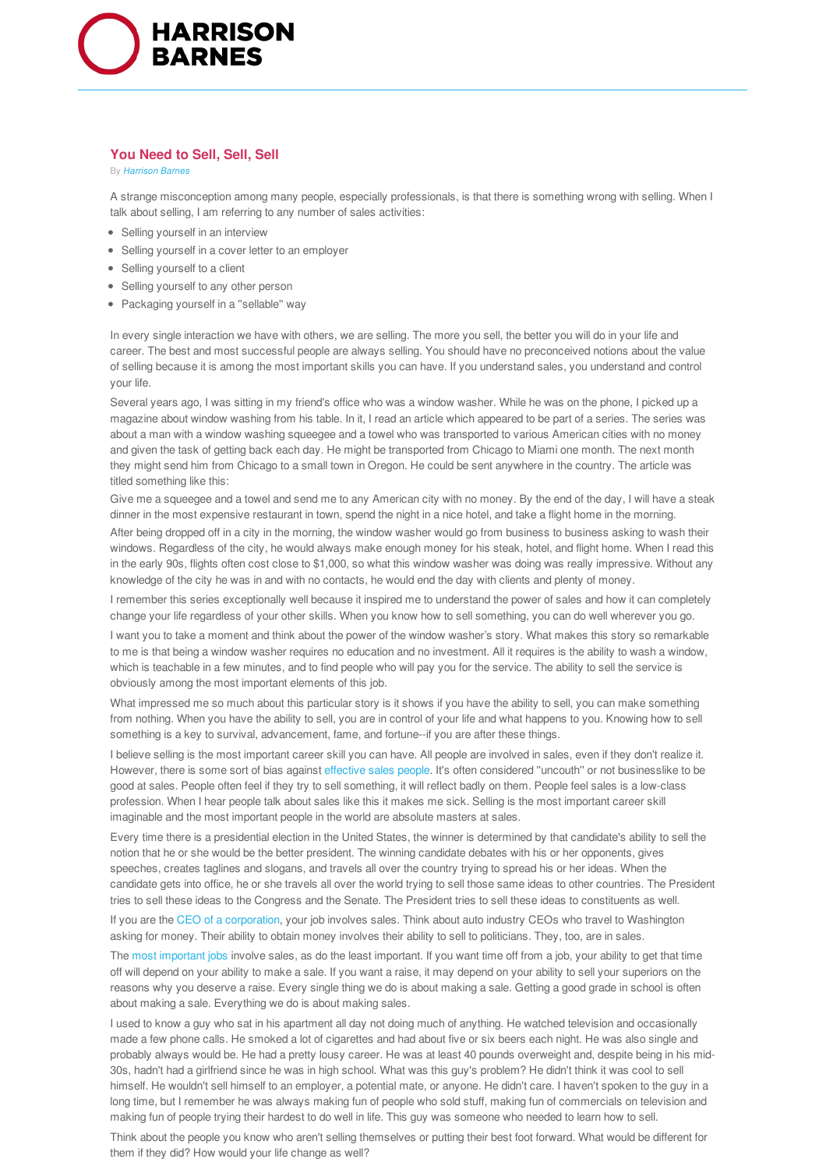

## **You Need to Sell, Sell, Sell**

By *Harrison Barnes*

A strange misconception among many people, especially professionals, is that there is something wrong with selling. When I talk about selling, I am referring to any number of sales activities:

- Selling yourself in an interview
- Selling yourself in a cover letter to an employer
- Selling yourself to a client
- Selling yourself to any other person
- Packaging yourself in a "sellable" way

In every single interaction we have with others, we are selling. The more you sell, the better you will do in your life and career. The best and most successful people are always selling. You should have no preconceived notions about the value of selling because it is among the most important skills you can have. If you understand sales, you understand and control your life.

Several years ago, I was sitting in my friend's office who was a window washer. While he was on the phone, I picked up a magazine about window washing from his table. In it, I read an article which appeared to be part of a series. The series was about a man with a window washing squeegee and a towel who was transported to various American cities with no money and given the task of getting back each day. He might be transported from Chicago to Miami one month. The next month they might send him from Chicago to a small town in Oregon. He could be sent anywhere in the country. The article was titled something like this:

Give me a squeegee and a towel and send me to any American city with no money. By the end of the day, I will have a steak dinner in the most expensive restaurant in town, spend the night in a nice hotel, and take a flight home in the morning.

After being dropped off in a city in the morning, the window washer would go from business to business asking to wash their windows. Regardless of the city, he would always make enough money for his steak, hotel, and flight home. When I read this in the early 90s, flights often cost close to \$1,000, so what this window washer was doing was really impressive. Without any knowledge of the city he was in and with no contacts, he would end the day with clients and plenty of money.

I remember this series exceptionally well because it inspired me to understand the power of sales and how it can completely change your life regardless of your other skills. When you know how to sell something, you can do well wherever you go.

I want you to take a moment and think about the power of the window washer's story. What makes this story so remarkable to me is that being a window washer requires no education and no investment. All it requires is the ability to wash a window, which is teachable in a few minutes, and to find people who will pay you for the service. The ability to sell the service is obviously among the most important elements of this job.

What impressed me so much about this particular story is it shows if you have the ability to sell, you can make something from nothing. When you have the ability to sell, you are in control of your life and what happens to you. Knowing how to sell something is a key to survival, advancement, fame, and fortune--if you are after these things.

I believe selling is the most important career skill you can have. All people are involved in sales, even if they don't realize it. However, there is some sort of bias against effective sales people. It's often considered ''uncouth'' or not businesslike to be good at sales. People often feel if they try to sell something, it will reflect badly on them. People feel sales is a low-class profession. When I hear people talk about sales like this it makes me sick. Selling is the most important career skill imaginable and the most important people in the world are absolute masters at sales.

Every time there is a presidential election in the United States, the winner is determined by that candidate's ability to sell the notion that he or she would be the better president. The winning candidate debates with his or her opponents, gives speeches, creates taglines and slogans, and travels all over the country trying to spread his or her ideas. When the candidate gets into office, he or she travels all over the world trying to sell those same ideas to other countries. The President tries to sell these ideas to the Congress and the Senate. The President tries to sell these ideas to constituents as well.

If you are the CEO of a corporation, your job involves sales. Think about auto industry CEOs who travel to Washington asking for money. Their ability to obtain money involves their ability to sell to politicians. They, too, are in sales.

The most important jobs involve sales, as do the least important. If you want time off from a job, your ability to get that time off will depend on your ability to make a sale. If you want a raise, it may depend on your ability to sell your superiors on the reasons why you deserve a raise. Every single thing we do is about making a sale. Getting a good grade in school is often about making a sale. Everything we do is about making sales.

I used to know a guy who sat in his apartment all day not doing much of anything. He watched television and occasionally made a few phone calls. He smoked a lot of cigarettes and had about five or six beers each night. He was also single and probably always would be. He had a pretty lousy career. He was at least 40 pounds overweight and, despite being in his mid-30s, hadn't had a girlfriend since he was in high school. What was this guy's problem? He didn't think it was cool to sell himself. He wouldn't sell himself to an employer, a potential mate, or anyone. He didn't care. I haven't spoken to the guy in a long time, but I remember he was always making fun of people who sold stuff, making fun of commercials on television and making fun of people trying their hardest to do well in life. This guy was someone who needed to learn how to sell.

Think about the people you know who aren't selling themselves or putting their best foot forward. What would be different for them if they did? How would your life change as well?